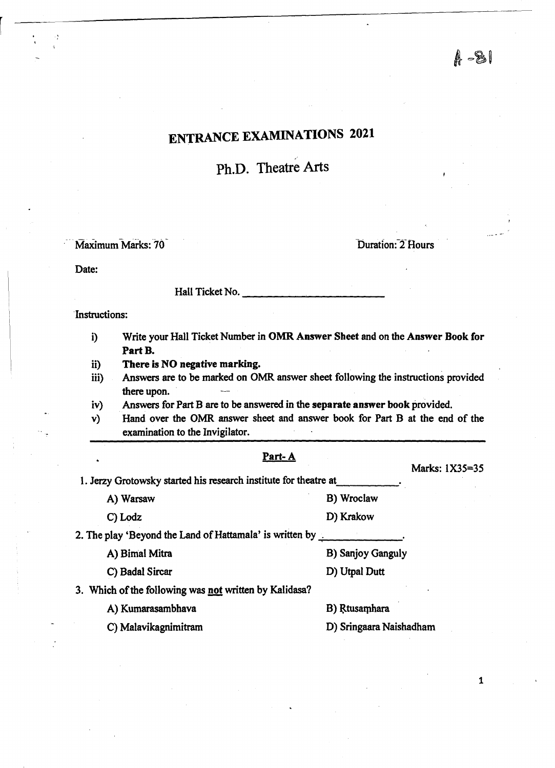$A - 81$ 

# ENTRANCE EXAMINATIONS 2021

Ph.D. Theatre Arts

,-

Maximum Marks: 70

Duration: 2 Hours

Date:

 $\mathcal{L}$ 

Hall Ticket No. \_\_\_\_\_\_\_\_\_\_ \_

-Instructions:

- i) Write your Hall Ticket Number in OMR Answer Sheet and on the Answer Book for Part B.
- ii) There is NO negative marking.
- iii) Answers are to be marked on OMR answer sheet following the instructions provided there upon.
- iv) Answers for Part B are to be answered in the separate answer book provided.
- v) Hand over the OMR answer sheet and answer book for Part B at the end of the examination to the Invigilator.

## Part-A

1. Jerzy Grotowsky started his research institute for theatre at.

A) Warsaw B) Wroclaw

C) Lodz D) Krakow

2. The play 'Beyond the Land of Hattamala' is written by  $\frac{1}{1-\frac{1}{2}}$ 

A) Bimal Mitra B) Sanjoy Ganguly

C) Badal Sircar D) Utpal Dutt

3. Which of the following was not written by Kalidasa?

A) Kumarasambhava B) Rtusamhara

C) Malavikagnimitram D) Sringaara Naishadham

1

Marks: lX35=35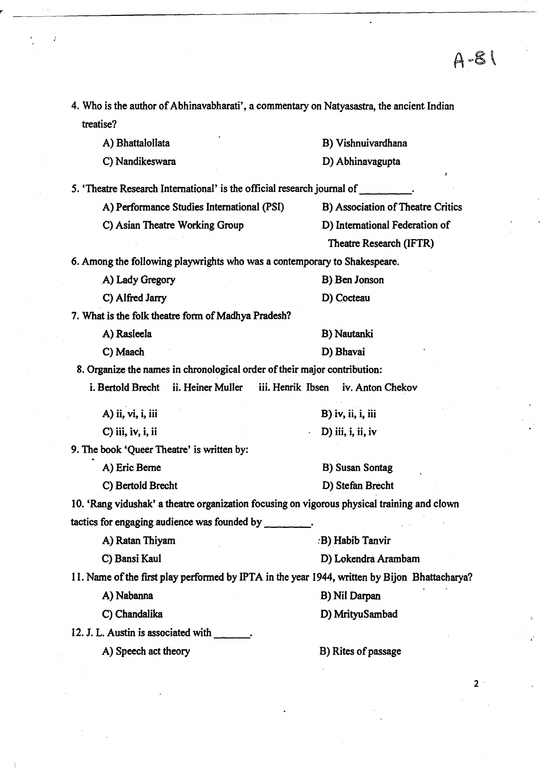$4 - 8$ 

4. Who is the author of Abhinavabharati', a commentary on Natyasastra, the ancient Indian treatise?

A) Bhattalollata

C) Nandikeswara

B) Vishnuivardhana

D) Abhinavagupta

5. 'Theatre Research International' is the official research journal of

A) Performance Studies International (PSI) B) Association of Theatre Critics

C) Asian Theatre Working Group D) International Federation of

Theatre Research (IFTR)

6. Among the following playwrights who was a contemporary to Shakespeare;

| A) Lady Gregory                                     | B) Ben Jonson |
|-----------------------------------------------------|---------------|
| C) Alfred Jarry                                     | D) Cocteau    |
| 7. What is the folk theatre form of Madhya Pradesh? |               |

A) Rasleela

C) Maach

8. Organize the names in chronological order of their major contribution:

i. Bertold Brecht ii. Heiner Muller iii. Henrik Ibsen iv. Anton Chekov

A) ii, vi, i, iii C) iii, iv, i, ii B) iv, ii, i, iii D) iii, i, ii, iv

9. The book 'Queer Theatre' is written by:

A) Eric Berne

C) Bertold Brecht

D) Stefan Brecht

B) Susan Sontag

B) Nautanki

D) Bhavai

10. 'Rang vidushak' a theatre organization focusing on vigorous physical training and clown tactics for engaging audience was founded by \_\_\_ \_

A) Ratan Thiyam : B) Habib Tanvir

C) Bansi Kaul D) Lokendra Arambam

11. Name of the first play performed by IPTA in the year 1944, written by Bijon Bhattacharya?

A) Nabanna B) Nil Darpan

C) Chandalika D) MrityuSambad

12. J. L. Austin is associated with  $\qquad \qquad$ .

A) Speech act theory B) Rites of passage

 $2<sup>1</sup>$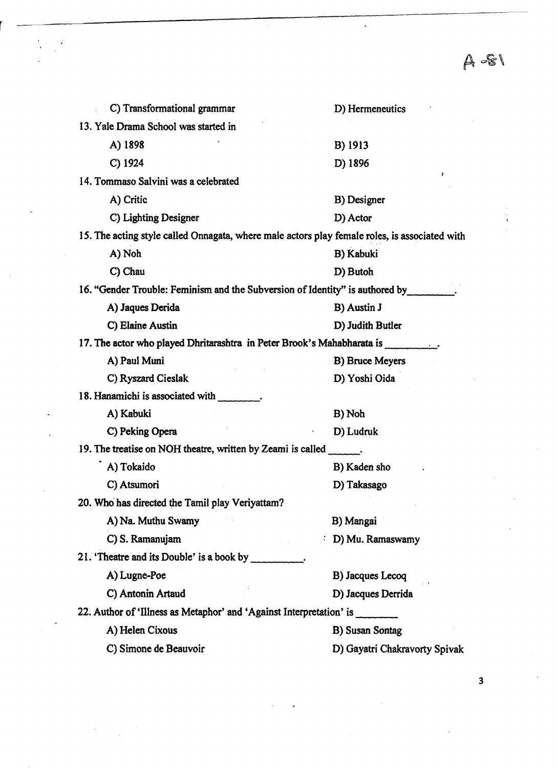$A - S1$ 

| C) Transformational grammar                                                                   | D) Hermeneutics               |  |  |  |
|-----------------------------------------------------------------------------------------------|-------------------------------|--|--|--|
| 13. Yale Drama School was started in                                                          |                               |  |  |  |
| A) 1898                                                                                       | B) 1913                       |  |  |  |
| $C)$ 1924                                                                                     | D) 1896                       |  |  |  |
| 14. Tommaso Salvini was a celebrated                                                          |                               |  |  |  |
| A) Critic                                                                                     | B) Designer                   |  |  |  |
| C) Lighting Designer                                                                          | D) Actor                      |  |  |  |
| 15. The acting style called Onnagata, where male actors play female roles, is associated with |                               |  |  |  |
| A) Noh                                                                                        | B) Kabuki                     |  |  |  |
| C) Chau                                                                                       | D) Butoh                      |  |  |  |
| 16. "Gender Trouble: Feminism and the Subversion of Identity" is authored by                  |                               |  |  |  |
| A) Jaques Derida                                                                              | B) Austin J                   |  |  |  |
| C) Elaine Austin                                                                              | D) Judith Butler              |  |  |  |
| 17. The actor who played Dhritarashtra in Peter Brook's Mahabharata is _________.             |                               |  |  |  |
| A) Paul Muni                                                                                  | <b>B)</b> Bruce Meyers        |  |  |  |
| C) Ryszard Cieslak                                                                            | D) Yoshi Oida                 |  |  |  |
| 18. Hanamichi is associated with ________.                                                    |                               |  |  |  |
| A) Kabuki                                                                                     | B) Noh                        |  |  |  |
| C) Peking Opera                                                                               | D) Ludruk                     |  |  |  |
| 19. The treatise on NOH theatre, written by Zeami is called ______.                           |                               |  |  |  |
| A) Tokaido                                                                                    | B) Kaden sho                  |  |  |  |
| C) Atsumori                                                                                   | D) Takasago                   |  |  |  |
| 20. Who has directed the Tamil play Veriyattam?                                               |                               |  |  |  |
| A) Na. Muthu Swamy                                                                            | B) Mangai                     |  |  |  |
| C) S. Ramanujam                                                                               | D) Mu. Ramaswamy              |  |  |  |
| 21. 'Theatre and its Double' is a book by                                                     |                               |  |  |  |
| A) Lugne-Poe                                                                                  | B) Jacques Lecoq              |  |  |  |
| C) Antonin Artaud                                                                             | D) Jacques Derrida            |  |  |  |
| 22. Author of 'Illness as Metaphor' and 'Against Interpretation' is                           |                               |  |  |  |
| A) Helen Cixous                                                                               | <b>B)</b> Susan Sontag        |  |  |  |
| C) Simone de Beauvoir                                                                         | D) Gayatri Chakravorty Spivak |  |  |  |
|                                                                                               |                               |  |  |  |

 $\cdot$ 

3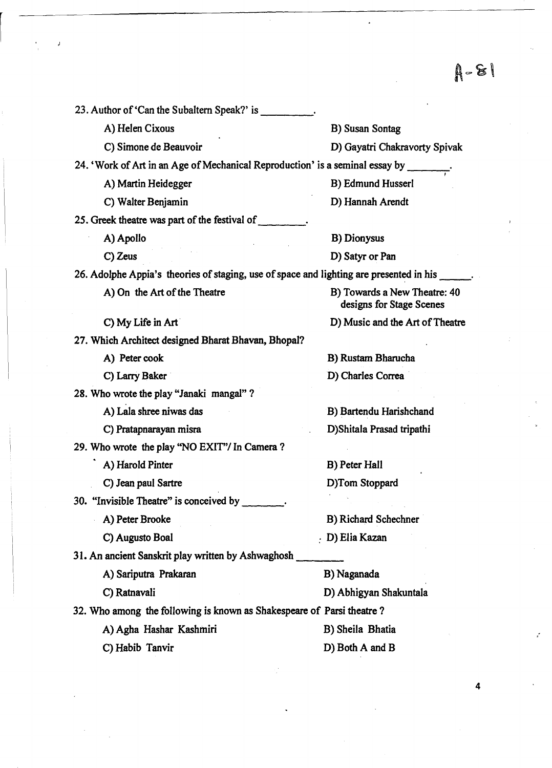$A - 81$ 

| 23. Author of 'Can the Subaltern Speak?' is ____                                        |                                                          |  |  |  |
|-----------------------------------------------------------------------------------------|----------------------------------------------------------|--|--|--|
| A) Helen Cixous                                                                         | B) Susan Sontag                                          |  |  |  |
| C) Simone de Beauvoir                                                                   | D) Gayatri Chakravorty Spivak                            |  |  |  |
| 24. 'Work of Art in an Age of Mechanical Reproduction' is a seminal essay by __         |                                                          |  |  |  |
| A) Martin Heidegger                                                                     | B) Edmund Husserl                                        |  |  |  |
| C) Walter Benjamin                                                                      | D) Hannah Arendt                                         |  |  |  |
| 25. Greek theatre was part of the festival of                                           |                                                          |  |  |  |
| A) Apollo                                                                               | <b>B</b> ) Dionysus                                      |  |  |  |
| C) Zeus                                                                                 | D) Satyr or Pan                                          |  |  |  |
| 26. Adolphe Appia's theories of staging, use of space and lighting are presented in his |                                                          |  |  |  |
| A) On the Art of the Theatre                                                            | B) Towards a New Theatre: 40<br>designs for Stage Scenes |  |  |  |
| C) My Life in Art                                                                       | D) Music and the Art of Theatre                          |  |  |  |
| 27. Which Architect designed Bharat Bhavan, Bhopal?                                     |                                                          |  |  |  |
| A) Peter cook                                                                           | B) Rustam Bharucha                                       |  |  |  |
| C) Larry Baker                                                                          | D) Charles Correa                                        |  |  |  |
| 28. Who wrote the play "Janaki mangal"?                                                 |                                                          |  |  |  |
| A) Lala shree niwas das                                                                 | B) Bartendu Harishchand                                  |  |  |  |
| C) Pratapnarayan misra                                                                  | D) Shitala Prasad tripathi                               |  |  |  |
| 29. Who wrote the play "NO EXIT"/ In Camera?                                            |                                                          |  |  |  |
| A) Harold Pinter                                                                        | B) Peter Hall                                            |  |  |  |
| C) Jean paul Sartre                                                                     | D)Tom Stoppard                                           |  |  |  |
| 30. "Invisible Theatre" is conceived by _______.                                        |                                                          |  |  |  |
| A) Peter Brooke                                                                         | B) Richard Schechner                                     |  |  |  |
| C) Augusto Boal                                                                         | . D) Elia Kazan                                          |  |  |  |
| 31. An ancient Sanskrit play written by Ashwaghosh _                                    |                                                          |  |  |  |
| A) Sariputra Prakaran                                                                   | B) Naganada                                              |  |  |  |
| C) Ratnavali                                                                            | D) Abhigyan Shakuntala                                   |  |  |  |
| 32. Who among the following is known as Shakespeare of Parsi theatre?                   |                                                          |  |  |  |
| A) Agha Hashar Kashmiri                                                                 | B) Sheila Bhatia                                         |  |  |  |
| C) Habib Tanvir                                                                         | D) Both A and B                                          |  |  |  |
|                                                                                         |                                                          |  |  |  |

J

4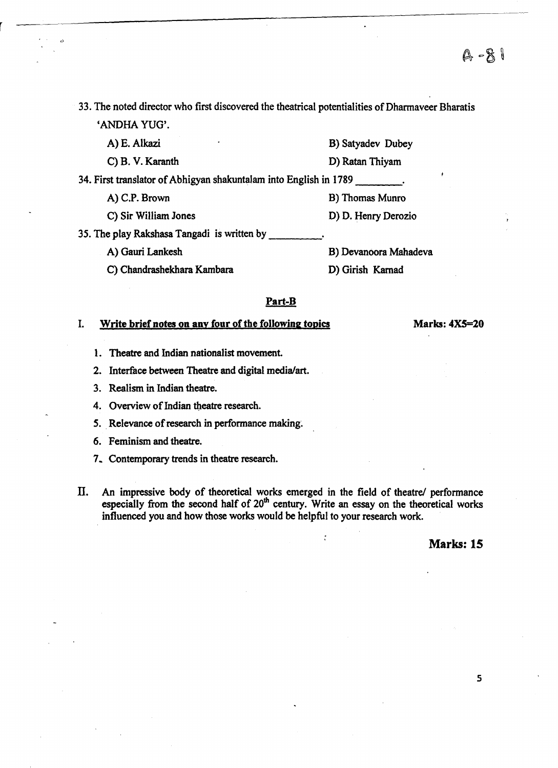33. The noted director who first discovered the theatrical potentialities of Dharmaveer Bharatis 'ANDHA YUG'.

A)E. Alkazi C) B.V. Karanth B) Satyadev Dubey D) Ratan Thiyam 34. First translator of Abhigyan shakuntalam into English in 1789 \_\_\_\_\_\_\_\_. A) C.P. Brown B) Thomas Munro C) Sir William Jones D) D. Henry Derozio 35. The play Rakshasa Tangadi is written by A) Gauri Lankesh C) Chandrashekhara Kambara B) Devanoora Mahadeva D) Girish Kamad

#### Part-B

## I. Write brief notes on any four of the following topics Marks: 4X5=20

- 1. Theatre and Indian nationalist movement.
- 2. Interface between Theatre and digital media/art.
- 3. Realism in Indian theatre.
- 4. Overview of Indian theatre research.
- 5. Relevance of research in performance making.
- 6. Feminism and theatre.
- 7.. Contemporary trends in theatre research.
- II. An impressive body of theoretical works emerged in the field of theatre/ performance especially from the second half of 20<sup>th</sup> century. Write an essay on the theoretical works influenced you and how those works would be helpful to your research work.

#### Marks: 15

5